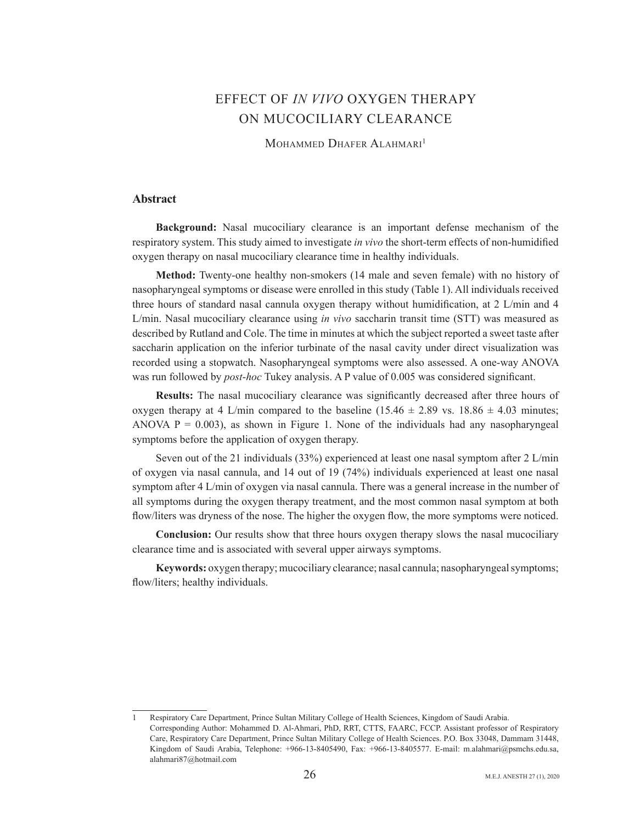# **EFFECT OF IN VIVO OXYGEN THERAPY** ON MUCOCILIARY CLEARANCE

MOHAMMED DHAFER ALAHMARI<sup>1</sup>

## **Abstract**

**Background:** Nasal mucociliary clearance is an important defense mechanism of the respiratory system. This study aimed to investigate *in vivo* the short-term effects of non-humidified oxygen therapy on nasal mucociliary clearance time in healthy individuals.

Method: Twenty-one healthy non-smokers (14 male and seven female) with no history of nasopharyngeal symptoms or disease were enrolled in this study (Table 1). All individuals received three hours of standard nasal cannula oxygen therapy without humidification, at  $2 \text{ L/min}$  and  $4 \text{ R}}$ L/min. Nasal mucociliary clearance using *in vivo* saccharin transit time (STT) was measured as described by Rutland and Cole. The time in minutes at which the subject reported a sweet taste after saccharin application on the inferior turbinate of the nasal cavity under direct visualization was recorded using a stopwatch. Nasopharyngeal symptoms were also assessed. A one-way ANOVA was run followed by *post-hoc* Tukey analysis. A P value of 0.005 was considered significant.

**Results:** The nasal mucociliary clearance was significantly decreased after three hours of oxygen therapy at 4.1/min compared to the baseline  $(15.46 \pm 2.89 \text{ vs. } 18.86 \pm 4.03 \text{ minutes})$ ANOVA  $P = 0.003$ ), as shown in Figure 1. None of the individuals had any nasopharyngeal symptoms before the application of oxygen the rapy.

Seven out of the 21 individuals  $(33%)$  experienced at least one nasal symptom after 2 L/min of oxygen via nasal cannula, and  $14$  out of  $19$  (74%) individuals experienced at least one nasal symptom after 4 L/min of oxygen via nasal cannula. There was a general increase in the number of all symptoms during the oxygen therapy treatment, and the most common nasal symptom at both flow/liters was dryness of the nose. The higher the oxygen flow, the more symptoms were noticed.

**Conclusion:** Our results show that three hours oxygen therapy slows the nasal mucociliary clearance time and is associated with several upper airways symptoms.

Keywords: oxygen therapy; mucociliary clearance; nasal cannula; nasopharyngeal symptoms; flow/liters; healthy individuals.

<sup>1</sup> Respiratory Care Department, Prince Sultan Military College of Health Sciences, Kingdom of Saudi Arabia. Corresponding Author: Mohammed D. Al-Ahmari, PhD, RRT, CTTS, FAARC, FCCP. Assistant professor of Respiratory Care, Respiratory Care Department, Prince Sultan Military College of Health Sciences. P.O. Box 33048, Dammam 31448, Kingdom of Saudi Arabia, Telephone: +966-13-8405490, Fax: +966-13-8405577. E-mail: m.alahmari@psmchs.edu.sa, alahmari87@hotmail.com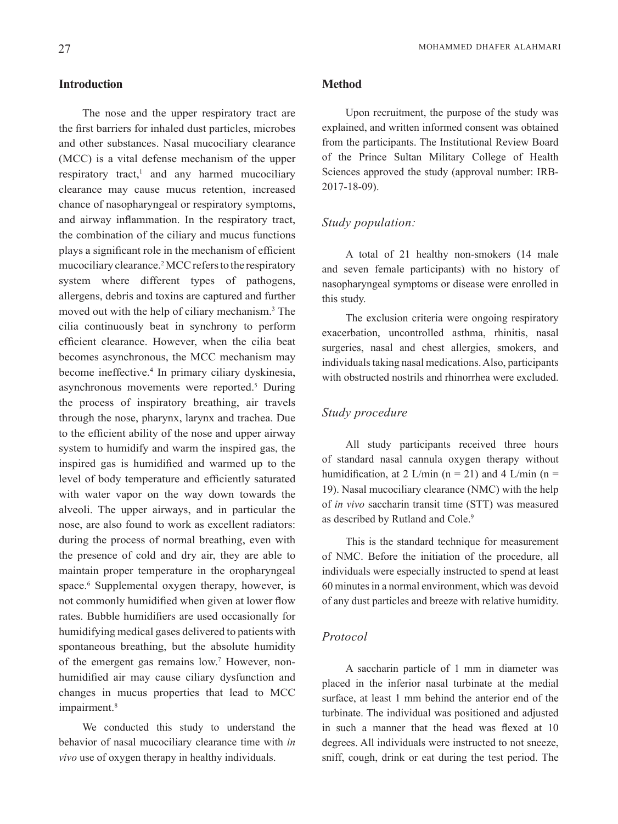# **Introduction**

The nose and the upper respiratory tract are the first barriers for inhaled dust particles, microbes and other substances. Nasal mucociliary clearance  $(MCC)$  is a vital defense mechanism of the upper respiratory tract,<sup>1</sup> and any harmed mucociliary clearance may cause mucus retention, increased chance of nasopharyngeal or respiratory symptoms, and airway inflammation. In the respiratory tract, the combination of the ciliary and mucus functions plays a significant role in the mechanism of efficient mucociliary clearance.<sup>2</sup> MCC refers to the respiratory system where different types of pathogens, allergens, debris and toxins are captured and further moved out with the help of ciliary mechanism.<sup>3</sup> The cilia continuously beat in synchrony to perform efficient clearance. However, when the cilia beat becomes asynchronous, the MCC mechanism may become ineffective.<sup>4</sup> In primary ciliary dyskinesia, asynchronous movements were reported.<sup>5</sup> During the process of inspiratory breathing, air travels through the nose, pharynx, larynx and trachea. Due to the efficient ability of the nose and upper airway system to humidify and warm the inspired gas, the inspired gas is humidified and warmed up to the level of body temperature and efficiently saturated with water vapor on the way down towards the alveoli. The upper airways, and in particular the nose, are also found to work as excellent radiators: during the process of normal breathing, even with the presence of cold and dry air, they are able to maintain proper temperature in the oropharyngeal space.<sup>6</sup> Supplemental oxygen therapy, however, is not commonly humidified when given at lower flow rates. Bubble humidifiers are used occasionally for humidifying medical gases delivered to patients with spontaneous breathing, but the absolute humidity of the emergent gas remains low.<sup>7</sup> However, non humidified air may cause ciliary dysfunction and changes in mucus properties that lead to MCC impairment.<sup>8</sup>

We conducted this study to understand the behavior of nasal mucociliary clearance time with in *vivo* use of oxygen therapy in healthy individuals.

#### **Method**

Upon recruitment, the purpose of the study was explained, and written informed consent was obtained from the participants. The Institutional Review Board of the Prince Sultan Military College of Health Sciences approved the study (approval number: IRB-2017-18-09).

# Study *population*:

A total of 21 healthy non-smokers (14 male and seven female participants) with no history of nasopharyngeal symptoms or disease were enrolled in this study.

The exclusion criteria were ongoing respiratory exacerbation, uncontrolled asthma, rhinitis, nasal surgeries, nasal and chest allergies, smokers, and individuals taking nasal medications. Also, participants with obstructed nostrils and rhinorrhea were excluded

## *Study* procedure

All study participants received three hours of standard nasal cannula oxygen therapy without humidification, at 2 L/min (n = 21) and 4 L/min (n = 19). Nasal mucociliary clearance (NMC) with the help of *in vivo* saccharin transit time (STT) was measured as described by Rutland and Cole.<sup>9</sup>

This is the standard technique for measurement of NMC. Before the initiation of the procedure, all individuals were especially instructed to spend at least 60 minutes in a normal environment, which was devoid of any dust particles and breeze with relative humidity.

## *Protocol*

A saccharin particle of 1 mm in diameter was placed in the inferior nasal turbinate at the medial surface, at least 1 mm behind the anterior end of the turbinate. The individual was positioned and adjusted in such a manner that the head was flexed at  $10$ degrees. All individuals were instructed to not sneeze, sniff, cough, drink or eat during the test period. The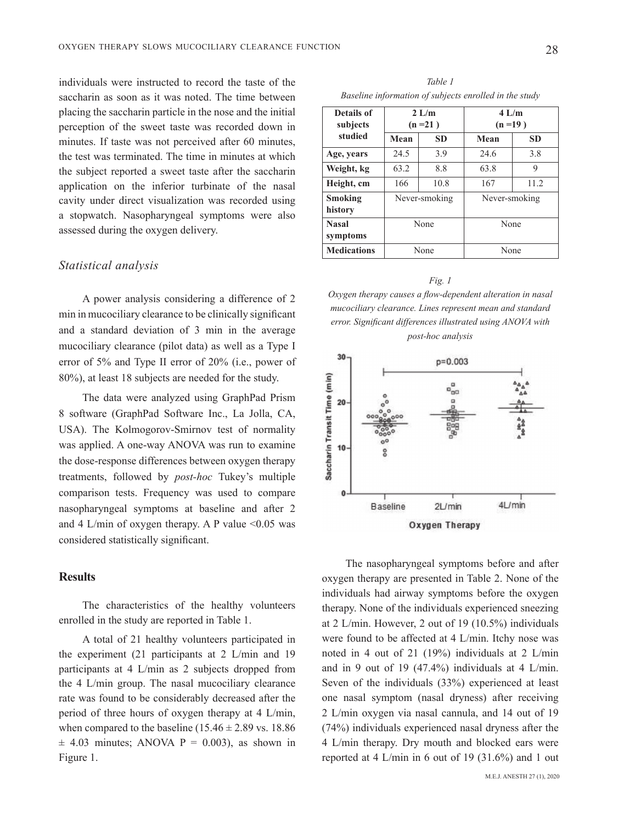individuals were instructed to record the taste of the saccharin as soon as it was noted. The time between placing the saccharin particle in the nose and the initial perception of the sweet taste was recorded down in minutes. If taste was not perceived after 60 minutes. the test was terminated. The time in minutes at which the subject reported a sweet taste after the saccharin application on the inferior turbinate of the nasal cavity under direct visualization was recorded using a stopwatch. Nasopharyngeal symptoms were also assessed during the oxygen delivery.

#### *analysis Statistical*

A power analysis considering a difference of 2 min in mucociliary clearance to be clinically significant and a standard deviation of 3 min in the average mucociliary clearance (pilot data) as well as a Type I error of  $5\%$  and Type II error of  $20\%$  (i.e., power of  $80\%$ ), at least 18 subjects are needed for the study.

The data were analyzed using GraphPad Prism 8 software (GraphPad Software Inc., La Jolla, CA, USA). The Kolmogorov-Smirnov test of normality was applied. A one-way ANOVA was run to examine the dose-response differences between oxygen therapy treatments, followed by *post-hoc* Tukey's multiple comparison tests. Frequency was used to compare nasopharyngeal symptoms at baseline and after 2 and 4 L/min of oxygen therapy. A P value  $\leq 0.05$  was considered statistically significant.

### **Results**

The characteristics of the healthy volunteers enrolled in the study are reported in Table 1.

A total of 21 healthy volunteers participated in the experiment (21 participants at 2  $L/min$  and 19 participants at 4 L/min as 2 subjects dropped from the 4  $L/min$  group. The nasal mucociliary clearance rate was found to be considerably decreased after the period of three hours of oxygen therapy at  $4$  L/min, when compared to the baseline  $(15.46 \pm 2.89 \text{ vs. } 18.86$  $\pm$  4.03 minutes; ANOVA P = 0.003), as shown in Figure 1.

*1 Table Baseline information of subjects enrolled in the study* 

| Details of<br>subjects<br>studied | $2$ L/m<br>$(n=21)$ |           | $4$ L/m<br>$(n=19)$ |           |  |
|-----------------------------------|---------------------|-----------|---------------------|-----------|--|
|                                   | Mean                | <b>SD</b> | Mean                | <b>SD</b> |  |
| Age, years                        | 24.5                | 3.9       | 24.6                | 3.8       |  |
| Weight, kg                        | 63.2                | 8.8       | 63.8                | 9         |  |
| Height, cm                        | 166                 | 10.8      | 167                 | 11.2      |  |
| Smoking<br>history                | Never-smoking       |           | Never-smoking       |           |  |
| <b>Nasal</b><br>symptoms          | None                |           | None                |           |  |
| <b>Medications</b>                | None                |           | None                |           |  |

*Fig.* 1 *Oxygen therapy causes a flow-dependent alteration in nasal* mucociliary clearance. Lines represent mean and standard error. Significant differences illustrated using ANOVA with *analysis hoc-post*



The nasopharyngeal symptoms before and after oxygen therapy are presented in Table 2. None of the individuals had airway symptoms before the oxygen therapy. None of the individuals experienced sneezing at 2 L/min. However, 2 out of 19  $(10.5\%)$  individuals were found to be affected at  $4$  L/min. Itchy nose was noted in 4 out of 21 (19%) individuals at 2  $L/min$ and in 9 out of 19  $(47.4\%)$  individuals at 4 L/min. Seven of the individuals  $(33%)$  experienced at least one nasal symptom (nasal dryness) after receiving  $2$  L/min oxygen via nasal cannula, and 14 out of 19  $(74%)$  individuals experienced nasal dryness after the 4 L/min therapy. Dry mouth and blocked ears were reported at 4 L/min in 6 out of 19  $(31.6\%)$  and 1 out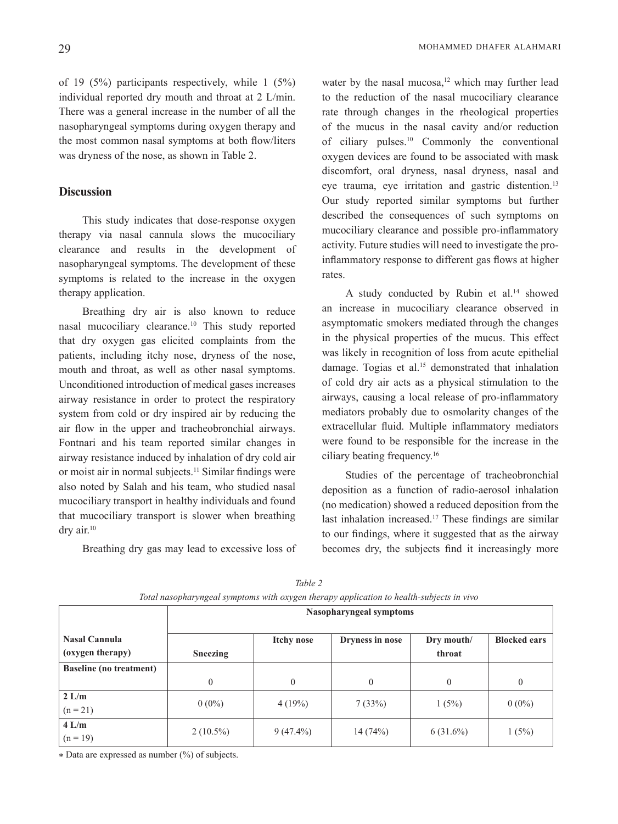of 19  $(5%)$  participants respectively, while 1  $(5%)$ individual reported dry mouth and throat at  $2$  L/min. There was a general increase in the number of all the nasopharyngeal symptoms during oxygen therapy and the most common nasal symptoms at both flow/liters was dryness of the nose, as shown in Table 2.

# **Discussion**

This study indicates that dose-response oxygen therapy via nasal cannula slows the mucociliary clearance and results in the development of nasopharyngeal symptoms. The development of these symptoms is related to the increase in the oxygen therapy application.

Breathing dry air is also known to reduce nasal mucociliary clearance.<sup>10</sup> This study reported that dry oxygen gas elicited complaints from the patients, including itchy nose, dryness of the nose, mouth and throat, as well as other nasal symptoms. Unconditioned introduction of medical gases increases airway resistance in order to protect the respiratory system from cold or dry inspired air by reducing the air flow in the upper and tracheobronchial airways. Fontnari and his team reported similar changes in airway resistance induced by inhalation of dry cold air or moist air in normal subjects.<sup>11</sup> Similar findings were also noted by Salah and his team, who studied nasal mucociliary transport in healthy individuals and found that mucociliary transport is slower when breathing dry air.<sup>10</sup>

Breathing dry gas may lead to excessive loss of

water by the nasal mucosa,<sup>12</sup> which may further lead to the reduction of the nasal mucociliary clearance rate through changes in the rheological properties of the mucus in the nasal cavity and/or reduction of ciliary pulses.<sup>10</sup> Commonly the conventional oxygen devices are found to be associated with mask discomfort, oral dryness, nasal dryness, nasal and eve trauma, eve irritation and gastric distention.<sup>13</sup> Our study reported similar symptoms but further described the consequences of such symptoms on mucociliary clearance and possible pro-inflammatory inflammatory response to different gas flows at higher activity. Future studies will need to investigate the pro-.rates

A study conducted by Rubin et al.<sup>14</sup> showed an increase in mucociliary clearance observed in asymptomatic smokers mediated through the changes in the physical properties of the mucus. This effect was likely in recognition of loss from acute epithelial damage. Togias et al.<sup>15</sup> demonstrated that inhalation of cold dry air acts as a physical stimulation to the airways, causing a local release of pro-inflammatory mediators probably due to osmolarity changes of the extracellular fluid. Multiple inflammatory mediators were found to be responsible for the increase in the ciliary beating frequency.<sup>16</sup>

Studies of the percentage of tracheobronchial deposition as a function of radio-aerosol inhalation (no medication) showed a reduced deposition from the last inhalation increased.<sup>17</sup> These findings are similar to our findings, where it suggested that as the airway becomes dry, the subjects find it increasingly more

|                                          | Nasopharyngeal symptoms |                   |                 |                      |                     |  |
|------------------------------------------|-------------------------|-------------------|-----------------|----------------------|---------------------|--|
| <b>Nasal Cannula</b><br>(oxygen therapy) | <b>Sneezing</b>         | <b>Itchy nose</b> | Dryness in nose | Dry mouth/<br>throat | <b>Blocked ears</b> |  |
| <b>Baseline</b> (no treatment)           |                         |                   |                 |                      |                     |  |
|                                          | $\theta$                | $\Omega$          | $\theta$        | $\Omega$             | $\overline{0}$      |  |
| 2 L/m<br>$(n = 21)$                      | $0(0\%)$                | 4(19%)            | 7(33%)          | 1(5%)                | $0(0\%)$            |  |
| 4 L/m<br>$(n = 19)$                      | $2(10.5\%)$             | $9(47.4\%)$       | 14(74%)         | $6(31.6\%)$          | 1(5%)               |  |

*2 Table vival nasopharyngeal symptoms with oxygen therapy application to health-subjects in vivo* 

 $\ast$  Data are expressed as number  $(\%)$  of subjects.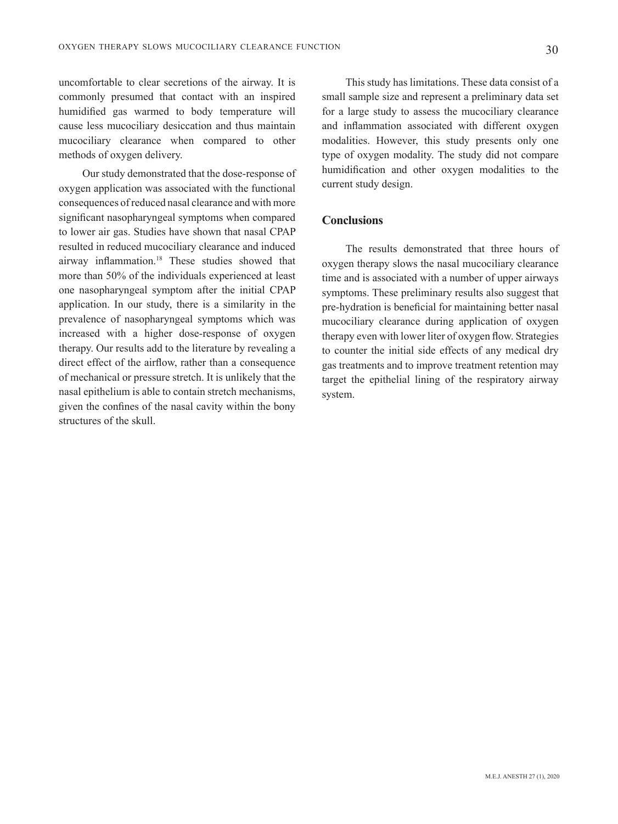uncomfortable to clear secretions of the airway. It is commonly presumed that contact with an inspired humidified gas warmed to body temperature will cause less mucociliary desiccation and thus maintain mucociliary clearance when compared to other methods of oxygen delivery.

Our study demonstrated that the dose-response of oxygen application was associated with the functional consequences of reduced nasal clearance and with more significant nasopharyngeal symptoms when compared to lower air gas. Studies have shown that nasal CPAP resulted in reduced mucociliary clearance and induced airway inflammation.<sup>18</sup> These studies showed that more than 50% of the individuals experienced at least one nasopharyngeal symptom after the initial CPAP application. In our study, there is a similarity in the prevalence of nasopharyngeal symptoms which was increased with a higher dose-response of oxygen therapy. Our results add to the literature by revealing a direct effect of the airflow, rather than a consequence of mechanical or pressure stretch. It is unlikely that the nasal epithelium is able to contain stretch mechanisms, given the confines of the nasal cavity within the bony structures of the skull.

This study has limitations. These data consist of a small sample size and represent a preliminary data set for a large study to assess the mucociliary clearance and inflammation associated with different oxygen modalities. However, this study presents only one type of oxygen modality. The study did not compare humidification and other oxygen modalities to the current study design.

#### **Conclusions**

The results demonstrated that three hours of oxygen therapy slows the nasal mucociliary clearance time and is associated with a number of upper airways symptoms. These preliminary results also suggest that pre-hydration is beneficial for maintaining better nasal mucociliary clearance during application of oxygen therapy even with lower liter of oxygen flow. Strategies to counter the initial side effects of any medical dry gas treatments and to improve treatment retention may target the epithelial lining of the respiratory airway system.